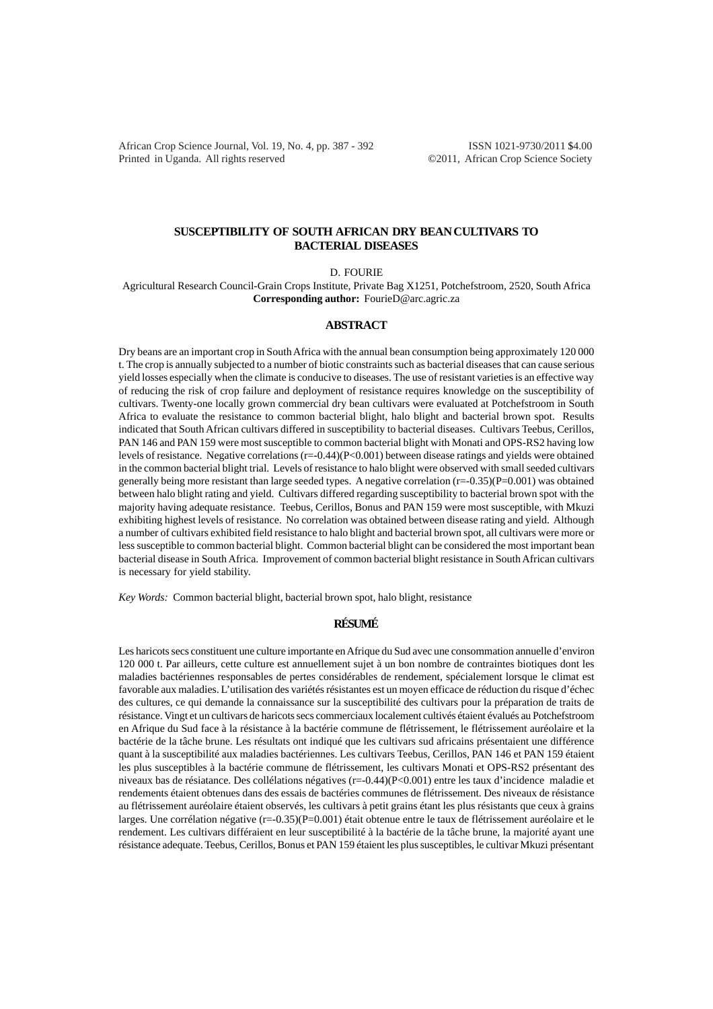African Crop Science Journal, Vol. 19, No. 4, pp. 387 - 392 ISSN 1021-9730/2011 \$4.00 Printed in Uganda. All rights reserved ©2011, African Crop Science Society

# **SUSCEPTIBILITY OF SOUTH AFRICAN DRY BEAN CULTIVARS TO BACTERIAL DISEASES**

D. FOURIE

Agricultural Research Council-Grain Crops Institute, Private Bag X1251, Potchefstroom, 2520, South Africa **Corresponding author:** FourieD@arc.agric.za

#### **ABSTRACT**

Dry beans are an important crop in South Africa with the annual bean consumption being approximately 120 000 t. The crop is annually subjected to a number of biotic constraints such as bacterial diseases that can cause serious yield losses especially when the climate is conducive to diseases. The use of resistant varieties is an effective way of reducing the risk of crop failure and deployment of resistance requires knowledge on the susceptibility of cultivars. Twenty-one locally grown commercial dry bean cultivars were evaluated at Potchefstroom in South Africa to evaluate the resistance to common bacterial blight, halo blight and bacterial brown spot. Results indicated that South African cultivars differed in susceptibility to bacterial diseases. Cultivars Teebus, Cerillos, PAN 146 and PAN 159 were most susceptible to common bacterial blight with Monati and OPS-RS2 having low levels of resistance. Negative correlations (r=-0.44)(P<0.001) between disease ratings and yields were obtained in the common bacterial blight trial. Levels of resistance to halo blight were observed with small seeded cultivars generally being more resistant than large seeded types. A negative correlation  $(r=-0.35)(P=0.001)$  was obtained between halo blight rating and yield. Cultivars differed regarding susceptibility to bacterial brown spot with the majority having adequate resistance. Teebus, Cerillos, Bonus and PAN 159 were most susceptible, with Mkuzi exhibiting highest levels of resistance. No correlation was obtained between disease rating and yield. Although a number of cultivars exhibited field resistance to halo blight and bacterial brown spot, all cultivars were more or less susceptible to common bacterial blight. Common bacterial blight can be considered the most important bean bacterial disease in South Africa. Improvement of common bacterial blight resistance in South African cultivars is necessary for yield stability.

*Key Words:* Common bacterial blight, bacterial brown spot, halo blight, resistance

# **RÉSUMÉ**

Les haricots secs constituent une culture importante en Afrique du Sud avec une consommation annuelle d'environ 120 000 t. Par ailleurs, cette culture est annuellement sujet à un bon nombre de contraintes biotiques dont les maladies bactériennes responsables de pertes considérables de rendement, spécialement lorsque le climat est favorable aux maladies. L'utilisation des variétés résistantes est un moyen efficace de réduction du risque d'échec des cultures, ce qui demande la connaissance sur la susceptibilité des cultivars pour la préparation de traits de résistance. Vingt et un cultivars de haricots secs commerciaux localement cultivés étaient évalués au Potchefstroom en Afrique du Sud face à la résistance à la bactérie commune de flétrissement, le flétrissement auréolaire et la bactérie de la tâche brune. Les résultats ont indiqué que les cultivars sud africains présentaient une différence quant à la susceptibilité aux maladies bactériennes. Les cultivars Teebus, Cerillos, PAN 146 et PAN 159 étaient les plus susceptibles à la bactérie commune de flétrissement, les cultivars Monati et OPS-RS2 présentant des niveaux bas de résiatance. Des collélations négatives (r=-0.44)(P<0.001) entre les taux d'incidence maladie et rendements étaient obtenues dans des essais de bactéries communes de flétrissement. Des niveaux de résistance au flétrissement auréolaire étaient observés, les cultivars à petit grains étant les plus résistants que ceux à grains larges. Une corrélation négative (r=-0.35)(P=0.001) était obtenue entre le taux de flétrissement auréolaire et le rendement. Les cultivars différaient en leur susceptibilité à la bactérie de la tâche brune, la majorité ayant une résistance adequate. Teebus, Cerillos, Bonus et PAN 159 étaient les plus susceptibles, le cultivar Mkuzi présentant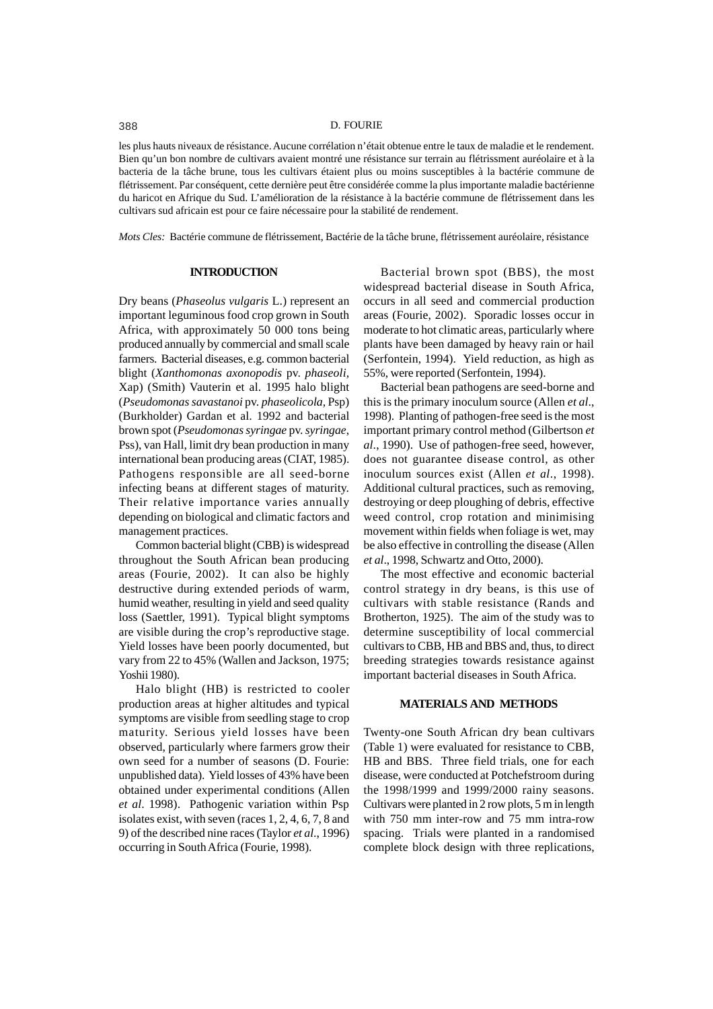#### 388 D. FOURIE

les plus hauts niveaux de résistance. Aucune corrélation n'était obtenue entre le taux de maladie et le rendement. Bien qu'un bon nombre de cultivars avaient montré une résistance sur terrain au flétrissment auréolaire et à la bacteria de la tâche brune, tous les cultivars étaient plus ou moins susceptibles à la bactérie commune de flétrissement. Par conséquent, cette dernière peut être considérée comme la plus importante maladie bactérienne du haricot en Afrique du Sud. L'amélioration de la résistance à la bactérie commune de flétrissement dans les cultivars sud africain est pour ce faire nécessaire pour la stabilité de rendement.

*Mots Cles:* Bactérie commune de flétrissement, Bactérie de la tâche brune, flétrissement auréolaire, résistance

## **INTRODUCTION**

Dry beans (*Phaseolus vulgaris* L.) represent an important leguminous food crop grown in South Africa, with approximately 50 000 tons being produced annually by commercial and small scale farmers. Bacterial diseases, e.g. common bacterial blight (*Xanthomonas axonopodis* pv. *phaseoli,* Xap) (Smith) Vauterin et al. 1995 halo blight (*Pseudomonas savastanoi* pv. *phaseolicola,* Psp) (Burkholder) Gardan et al. 1992 and bacterial brown spot (*Pseudomonas syringae* pv. *syringae*, Pss), van Hall, limit dry bean production in many international bean producing areas (CIAT, 1985). Pathogens responsible are all seed-borne infecting beans at different stages of maturity. Their relative importance varies annually depending on biological and climatic factors and management practices.

Common bacterial blight (CBB) is widespread throughout the South African bean producing areas (Fourie, 2002). It can also be highly destructive during extended periods of warm, humid weather, resulting in yield and seed quality loss (Saettler, 1991). Typical blight symptoms are visible during the crop's reproductive stage. Yield losses have been poorly documented, but vary from 22 to 45% (Wallen and Jackson, 1975; Yoshii 1980).

Halo blight (HB) is restricted to cooler production areas at higher altitudes and typical symptoms are visible from seedling stage to crop maturity. Serious yield losses have been observed, particularly where farmers grow their own seed for a number of seasons (D. Fourie: unpublished data). Yield losses of 43% have been obtained under experimental conditions (Allen *et al*. 1998). Pathogenic variation within Psp isolates exist, with seven (races 1, 2, 4, 6, 7, 8 and 9) of the described nine races (Taylor *et al*., 1996) occurring in South Africa (Fourie, 1998).

Bacterial brown spot (BBS), the most widespread bacterial disease in South Africa, occurs in all seed and commercial production areas (Fourie, 2002). Sporadic losses occur in moderate to hot climatic areas, particularly where plants have been damaged by heavy rain or hail (Serfontein, 1994). Yield reduction, as high as 55%, were reported (Serfontein, 1994).

Bacterial bean pathogens are seed-borne and this is the primary inoculum source (Allen *et al*., 1998). Planting of pathogen-free seed is the most important primary control method (Gilbertson *et al*., 1990). Use of pathogen-free seed, however, does not guarantee disease control, as other inoculum sources exist (Allen *et al*., 1998). Additional cultural practices, such as removing, destroying or deep ploughing of debris, effective weed control, crop rotation and minimising movement within fields when foliage is wet, may be also effective in controlling the disease (Allen *et al*., 1998, Schwartz and Otto, 2000).

The most effective and economic bacterial control strategy in dry beans, is this use of cultivars with stable resistance (Rands and Brotherton, 1925). The aim of the study was to determine susceptibility of local commercial cultivars to CBB, HB and BBS and, thus, to direct breeding strategies towards resistance against important bacterial diseases in South Africa.

#### **MATERIALS AND METHODS**

Twenty-one South African dry bean cultivars (Table 1) were evaluated for resistance to CBB, HB and BBS. Three field trials, one for each disease, were conducted at Potchefstroom during the 1998/1999 and 1999/2000 rainy seasons. Cultivars were planted in 2 row plots, 5 m in length with 750 mm inter-row and 75 mm intra-row spacing. Trials were planted in a randomised complete block design with three replications,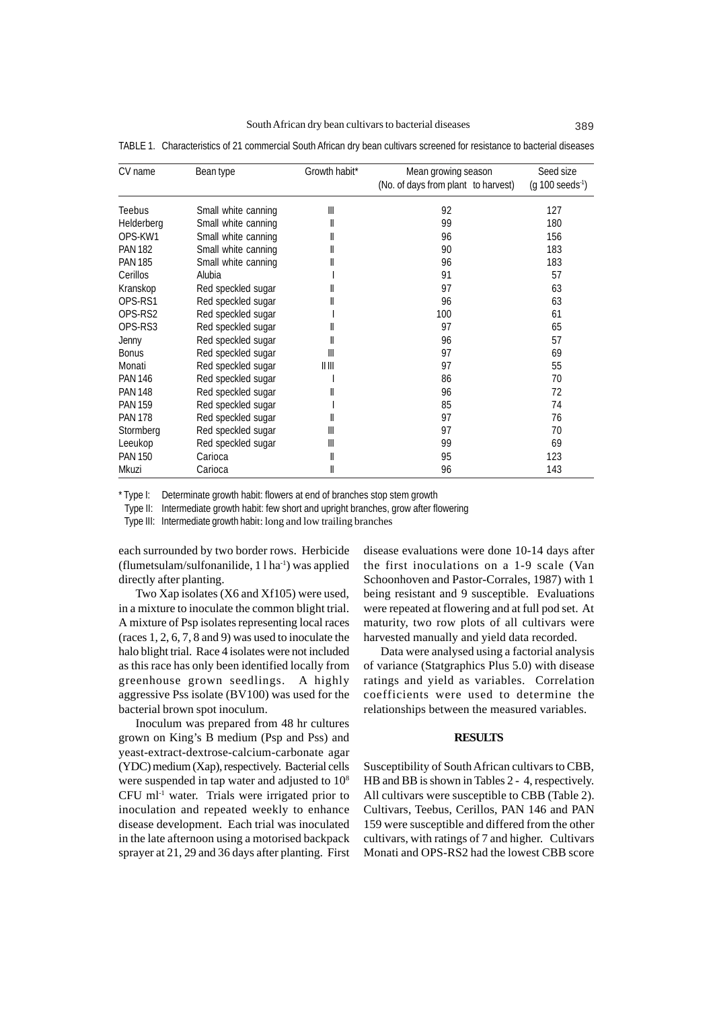| CV name        | Bean type           | Growth habit*                   | Mean growing season<br>(No. of days from plant to harvest) | Seed size<br>$(g 100 \text{ seeds}^{-1})$ |
|----------------|---------------------|---------------------------------|------------------------------------------------------------|-------------------------------------------|
| Teebus         | Small white canning | Ш                               | 92                                                         | 127                                       |
| Helderberg     | Small white canning | II                              | 99                                                         | 180                                       |
| OPS-KW1        | Small white canning | II                              | 96                                                         | 156                                       |
| <b>PAN 182</b> | Small white canning | II                              | 90                                                         | 183                                       |
| <b>PAN 185</b> | Small white canning |                                 | 96                                                         | 183                                       |
| Cerillos       | Alubia              |                                 | 91                                                         | 57                                        |
| Kranskop       | Red speckled sugar  |                                 | 97                                                         | 63                                        |
| OPS-RS1        | Red speckled sugar  |                                 | 96                                                         | 63                                        |
| OPS-RS2        | Red speckled sugar  |                                 | 100                                                        | 61                                        |
| OPS-RS3        | Red speckled sugar  |                                 | 97                                                         | 65                                        |
| Jenny          | Red speckled sugar  | II                              | 96                                                         | 57                                        |
| <b>Bonus</b>   | Red speckled sugar  | Ш                               | 97                                                         | 69                                        |
| Monati         | Red speckled sugar  | $\parallel \parallel \parallel$ | 97                                                         | 55                                        |
| <b>PAN 146</b> | Red speckled sugar  |                                 | 86                                                         | 70                                        |
| <b>PAN 148</b> | Red speckled sugar  |                                 | 96                                                         | 72                                        |
| <b>PAN 159</b> | Red speckled sugar  |                                 | 85                                                         | 74                                        |
| <b>PAN 178</b> | Red speckled sugar  | II                              | 97                                                         | 76                                        |
| Stormberg      | Red speckled sugar  | Ш                               | 97                                                         | 70                                        |
| Leeukop        | Red speckled sugar  | Ш                               | 99                                                         | 69                                        |
| <b>PAN 150</b> | Carioca             | II                              | 95                                                         | 123                                       |
| Mkuzi          | Carioca             | II                              | 96                                                         | 143                                       |

TABLE 1. Characteristics of 21 commercial South African dry bean cultivars screened for resistance to bacterial diseases

\* Type I: Determinate growth habit: flowers at end of branches stop stem growth

Type II: Intermediate growth habit: few short and upright branches, grow after flowering

Type III: Intermediate growth habit: long and low trailing branches

each surrounded by two border rows. Herbicide (flumetsulam/sulfonanilide, 1 l ha-1) was applied directly after planting.

Two Xap isolates (X6 and Xf105) were used, in a mixture to inoculate the common blight trial. A mixture of Psp isolates representing local races (races 1, 2, 6, 7, 8 and 9) was used to inoculate the halo blight trial. Race 4 isolates were not included as this race has only been identified locally from greenhouse grown seedlings. A highly aggressive Pss isolate (BV100) was used for the bacterial brown spot inoculum.

Inoculum was prepared from 48 hr cultures grown on King's B medium (Psp and Pss) and yeast-extract-dextrose-calcium-carbonate agar (YDC) medium (Xap), respectively. Bacterial cells were suspended in tap water and adjusted to  $10^8$ CFU ml-1 water. Trials were irrigated prior to inoculation and repeated weekly to enhance disease development. Each trial was inoculated in the late afternoon using a motorised backpack sprayer at 21, 29 and 36 days after planting. First

disease evaluations were done 10-14 days after the first inoculations on a 1-9 scale (Van Schoonhoven and Pastor-Corrales, 1987) with 1 being resistant and 9 susceptible. Evaluations were repeated at flowering and at full pod set. At maturity, two row plots of all cultivars were harvested manually and yield data recorded.

Data were analysed using a factorial analysis of variance (Statgraphics Plus 5.0) with disease ratings and yield as variables. Correlation coefficients were used to determine the relationships between the measured variables.

#### **RESULTS**

Susceptibility of South African cultivars to CBB, HB and BB is shown in Tables 2 - 4, respectively. All cultivars were susceptible to CBB (Table 2). Cultivars, Teebus, Cerillos, PAN 146 and PAN 159 were susceptible and differed from the other cultivars, with ratings of 7 and higher. Cultivars Monati and OPS-RS2 had the lowest CBB score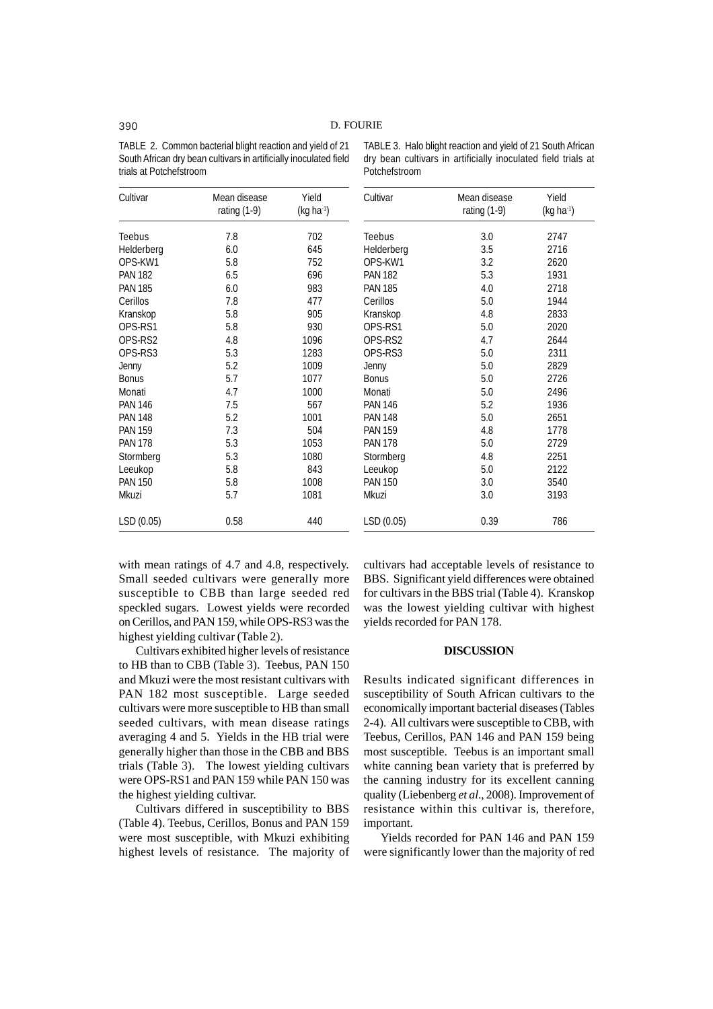TABLE 2. Common bacterial blight reaction and yield of 21 South African dry bean cultivars in artificially inoculated field trials at Potchefstroom

| Cultivar       | Mean disease<br>rating $(1-9)$ | Yield<br>$(kg ha-1)$ | Cultivar       | Mean disease<br>rating $(1-9)$ | Yield<br>(kg ha |
|----------------|--------------------------------|----------------------|----------------|--------------------------------|-----------------|
| Teebus         | 7.8                            | 702                  | Teebus         | 3.0                            | 2747            |
| Helderberg     | 6.0                            | 645                  | Helderberg     | 3.5                            | 2716            |
| OPS-KW1        | 5.8                            | 752                  | OPS-KW1        | 3.2                            | 2620            |
| <b>PAN 182</b> | 6.5                            | 696                  | <b>PAN 182</b> | 5.3                            | 1931            |
| <b>PAN 185</b> | 6.0                            | 983                  | <b>PAN 185</b> | 4.0                            | 2718            |
| Cerillos       | 7.8                            | 477                  | Cerillos       | 5.0                            | 1944            |
| Kranskop       | 5.8                            | 905                  | Kranskop       | 4.8                            | 2833            |
| OPS-RS1        | 5.8                            | 930                  | OPS-RS1        | 5.0                            | 2020            |
| OPS-RS2        | 4.8                            | 1096                 | OPS-RS2        | 4.7                            | 2644            |
| OPS-RS3        | 5.3                            | 1283                 | OPS-RS3        | 5.0                            | 2311            |
| Jenny          | 5.2                            | 1009                 | Jenny          | 5.0                            | 2829            |
| <b>Bonus</b>   | 5.7                            | 1077                 | <b>Bonus</b>   | 5.0                            | 2726            |
| Monati         | 4.7                            | 1000                 | Monati         | 5.0                            | 2496            |
| PAN 146        | 7.5                            | 567                  | <b>PAN 146</b> | 5.2                            | 1936            |
| <b>PAN 148</b> | 5.2                            | 1001                 | <b>PAN 148</b> | 5.0                            | 2651            |
| PAN 159        | 7.3                            | 504                  | <b>PAN 159</b> | 4.8                            | 1778            |
| <b>PAN 178</b> | 5.3                            | 1053                 | <b>PAN 178</b> | 5.0                            | 2729            |
| Stormberg      | 5.3                            | 1080                 | Stormberg      | 4.8                            | 2251            |
| Leeukop        | 5.8                            | 843                  | Leeukop        | 5.0                            | 2122            |
| <b>PAN 150</b> | 5.8                            | 1008                 | <b>PAN 150</b> | 3.0                            | 3540            |
| Mkuzi          | 5.7                            | 1081                 | Mkuzi          | 3.0                            | 3193            |
| LSD (0.05)     | 0.58                           | 440                  | LSD (0.05)     | 0.39                           | 786             |

TABLE 3. Halo blight reaction and yield of 21 South African dry bean cultivars in artificially inoculated field trials at Potchefstroom

 $(kg ha<sup>-1</sup>)$ 

with mean ratings of 4.7 and 4.8, respectively. Small seeded cultivars were generally more susceptible to CBB than large seeded red speckled sugars. Lowest yields were recorded on Cerillos, and PAN 159, while OPS-RS3 was the highest yielding cultivar (Table 2).

Cultivars exhibited higher levels of resistance to HB than to CBB (Table 3). Teebus, PAN 150 and Mkuzi were the most resistant cultivars with PAN 182 most susceptible. Large seeded cultivars were more susceptible to HB than small seeded cultivars, with mean disease ratings averaging 4 and 5. Yields in the HB trial were generally higher than those in the CBB and BBS trials (Table 3). The lowest yielding cultivars were OPS-RS1 and PAN 159 while PAN 150 was the highest yielding cultivar.

Cultivars differed in susceptibility to BBS (Table 4). Teebus, Cerillos, Bonus and PAN 159 were most susceptible, with Mkuzi exhibiting highest levels of resistance. The majority of cultivars had acceptable levels of resistance to BBS. Significant yield differences were obtained for cultivars in the BBS trial (Table 4). Kranskop was the lowest yielding cultivar with highest yields recorded for PAN 178.

## **DISCUSSION**

Results indicated significant differences in susceptibility of South African cultivars to the economically important bacterial diseases (Tables 2-4). All cultivars were susceptible to CBB, with Teebus, Cerillos, PAN 146 and PAN 159 being most susceptible. Teebus is an important small white canning bean variety that is preferred by the canning industry for its excellent canning quality (Liebenberg *et al*., 2008). Improvement of resistance within this cultivar is, therefore, important.

Yields recorded for PAN 146 and PAN 159 were significantly lower than the majority of red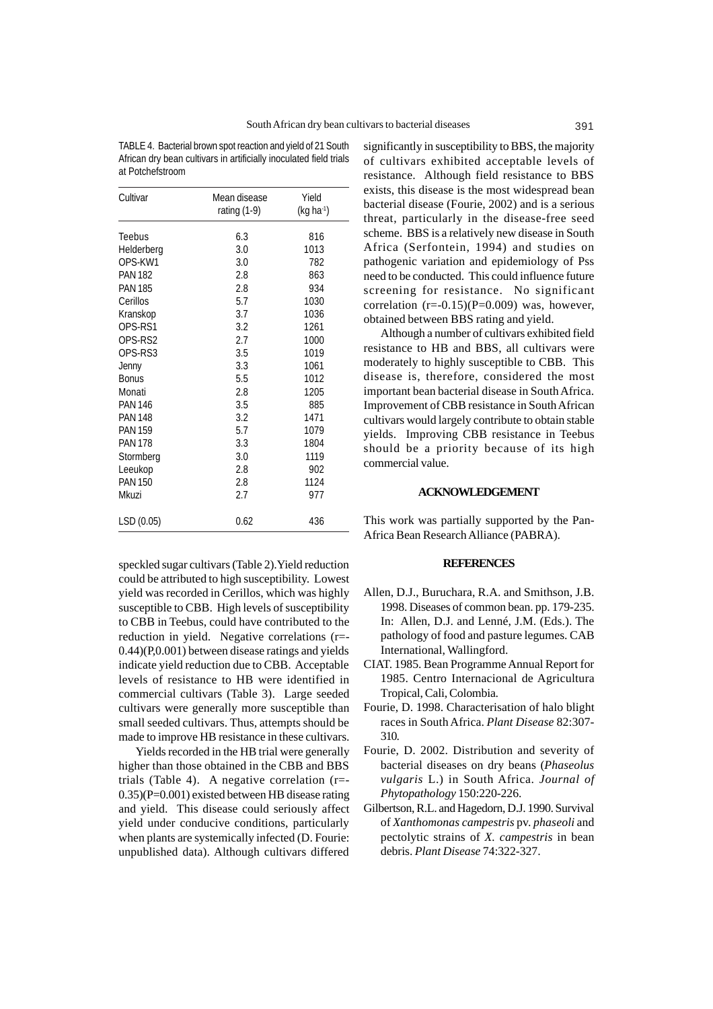TABLE 4. Bacterial brown spot reaction and yield of 21 South African dry bean cultivars in artificially inoculated field trials at Potchefstroom

| Cultivar       | Mean disease<br>rating (1-9) | Yield<br>$(kg ha-1)$ |
|----------------|------------------------------|----------------------|
| Teebus         | 6.3                          | 816                  |
| Helderberg     | 3.0                          | 1013                 |
| OPS-KW1        | 3.0                          | 782                  |
| <b>PAN 182</b> | 2.8                          | 863                  |
| <b>PAN 185</b> | 2.8                          | 934                  |
| Cerillos       | 5.7                          | 1030                 |
| Kranskop       | 3.7                          | 1036                 |
| OPS-RS1        | 3.2                          | 1261                 |
| OPS-RS2        | 2.7                          | 1000                 |
| OPS-RS3        | 3.5                          | 1019                 |
| Jenny          | 3.3                          | 1061                 |
| <b>Bonus</b>   | 5.5                          | 1012                 |
| Monati         | 2.8                          | 1205                 |
| <b>PAN 146</b> | 3.5                          | 885                  |
| <b>PAN 148</b> | 3.2                          | 1471                 |
| <b>PAN 159</b> | 5.7                          | 1079                 |
| <b>PAN 178</b> | 3.3                          | 1804                 |
| Stormberg      | 3.0                          | 1119                 |
| Leeukop        | 2.8                          | 902                  |
| <b>PAN 150</b> | 2.8                          | 1124                 |
| Mkuzi          | 2.7                          | 977                  |
| LSD (0.05)     | 0.62                         | 436                  |

speckled sugar cultivars (Table 2).Yield reduction could be attributed to high susceptibility. Lowest yield was recorded in Cerillos, which was highly susceptible to CBB. High levels of susceptibility to CBB in Teebus, could have contributed to the reduction in yield. Negative correlations (r=- 0.44)(P,0.001) between disease ratings and yields indicate yield reduction due to CBB. Acceptable levels of resistance to HB were identified in commercial cultivars (Table 3). Large seeded cultivars were generally more susceptible than small seeded cultivars. Thus, attempts should be made to improve HB resistance in these cultivars.

Yields recorded in the HB trial were generally higher than those obtained in the CBB and BBS trials (Table 4). A negative correlation (r=- 0.35)(P=0.001) existed between HB disease rating and yield. This disease could seriously affect yield under conducive conditions, particularly when plants are systemically infected (D. Fourie: unpublished data). Although cultivars differed

significantly in susceptibility to BBS, the majority of cultivars exhibited acceptable levels of resistance. Although field resistance to BBS exists, this disease is the most widespread bean bacterial disease (Fourie, 2002) and is a serious threat, particularly in the disease-free seed scheme. BBS is a relatively new disease in South Africa (Serfontein, 1994) and studies on pathogenic variation and epidemiology of Pss need to be conducted. This could influence future screening for resistance. No significant correlation  $(r=-0.15)(P=0.009)$  was, however, obtained between BBS rating and yield.

Although a number of cultivars exhibited field resistance to HB and BBS, all cultivars were moderately to highly susceptible to CBB. This disease is, therefore, considered the most important bean bacterial disease in South Africa. Improvement of CBB resistance in South African cultivars would largely contribute to obtain stable yields. Improving CBB resistance in Teebus should be a priority because of its high commercial value.

## **ACKNOWLEDGEMENT**

This work was partially supported by the Pan-Africa Bean Research Alliance (PABRA).

#### **REFERENCES**

- Allen, D.J., Buruchara, R.A. and Smithson, J.B. 1998. Diseases of common bean. pp. 179-235. In: Allen, D.J. and Lenné, J.M. (Eds.). The pathology of food and pasture legumes. CAB International, Wallingford.
- CIAT. 1985. Bean Programme Annual Report for 1985. Centro Internacional de Agricultura Tropical, Cali, Colombia.
- Fourie, D. 1998. Characterisation of halo blight races in South Africa. *Plant Disease* 82:307- 310.
- Fourie, D. 2002. Distribution and severity of bacterial diseases on dry beans (*Phaseolus vulgaris* L.) in South Africa. *Journal of Phytopathology* 150:220-226.
- Gilbertson, R.L. and Hagedorn, D.J. 1990. Survival of *Xanthomonas campestris* pv. *phaseoli* and pectolytic strains of *X. campestris* in bean debris. *Plant Disease* 74:322-327.